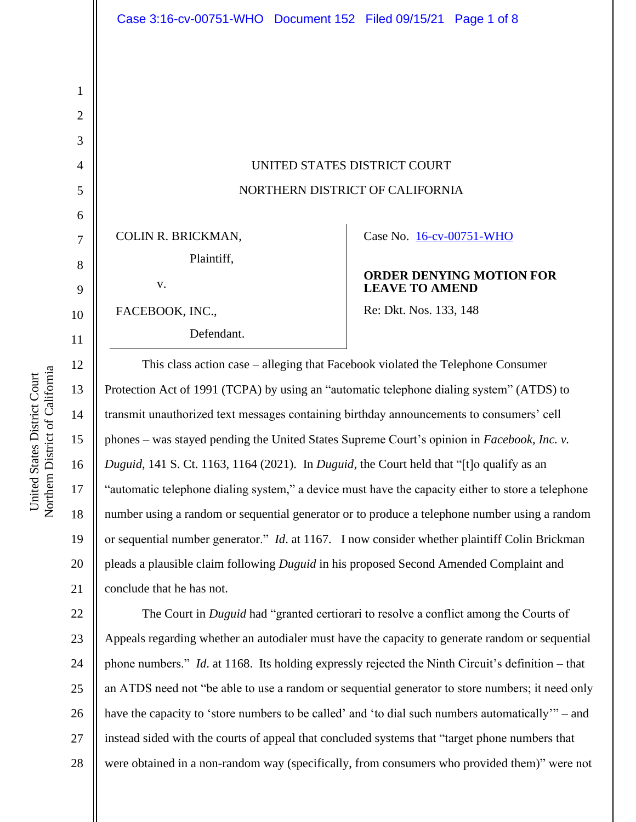UNITED STATES DISTRICT COURT NORTHERN DISTRICT OF CALIFORNIA

COLIN R. BRICKMAN, Plaintiff,

v.

FACEBOOK, INC., Defendant. Case No. [16-cv-00751-WHO](https://ecf.cand.uscourts.gov/cgi-bin/DktRpt.pl?295700) 

### **ORDER DENYING MOTION FOR LEAVE TO AMEND**

Re: Dkt. Nos. 133, 148

This class action case – alleging that Facebook violated the Telephone Consumer Protection Act of 1991 (TCPA) by using an "automatic telephone dialing system" (ATDS) to transmit unauthorized text messages containing birthday announcements to consumers' cell phones – was stayed pending the United States Supreme Court's opinion in *Facebook, Inc. v. Duguid*, 141 S. Ct. 1163, 1164 (2021). In *Duguid*, the Court held that "[t]o qualify as an "automatic telephone dialing system," a device must have the capacity either to store a telephone number using a random or sequential generator or to produce a telephone number using a random or sequential number generator." *Id*. at 1167. I now consider whether plaintiff Colin Brickman pleads a plausible claim following *Duguid* in his proposed Second Amended Complaint and conclude that he has not.

22 23 24 25 26 27 28 The Court in *Duguid* had "granted certiorari to resolve a conflict among the Courts of Appeals regarding whether an autodialer must have the capacity to generate random or sequential phone numbers." *Id*. at 1168. Its holding expressly rejected the Ninth Circuit's definition – that an ATDS need not "be able to use a random or sequential generator to store numbers; it need only have the capacity to 'store numbers to be called' and 'to dial such numbers automatically'" – and instead sided with the courts of appeal that concluded systems that "target phone numbers that were obtained in a non-random way (specifically, from consumers who provided them)" were not

1

2

3

4

5

6

7

8

9

10

11

12

13

14

15

16

17

18

19

20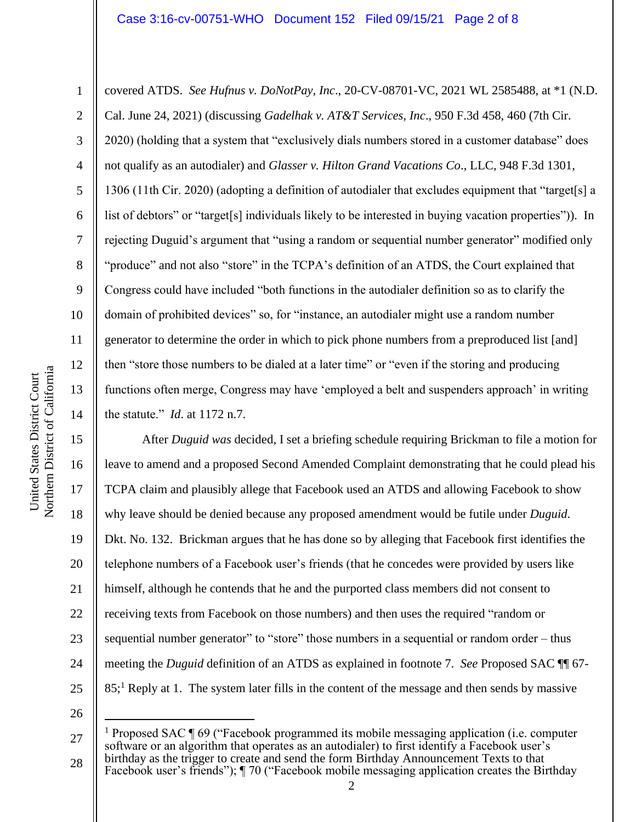#### Case 3:16-cv-00751-WHO Document 152 Filed 09/15/21 Page 2 of 8

6 10 12 14 covered ATDS. *See Hufnus v. DoNotPay, Inc*., 20-CV-08701-VC, 2021 WL 2585488, at \*1 (N.D. Cal. June 24, 2021) (discussing *Gadelhak v. AT&T Services, Inc*., 950 F.3d 458, 460 (7th Cir. 2020) (holding that a system that "exclusively dials numbers stored in a customer database" does not qualify as an autodialer) and *Glasser v. Hilton Grand Vacations Co*., LLC, 948 F.3d 1301, 1306 (11th Cir. 2020) (adopting a definition of autodialer that excludes equipment that "target[s] a list of debtors" or "target[s] individuals likely to be interested in buying vacation properties")). In rejecting Duguid's argument that "using a random or sequential number generator" modified only "produce" and not also "store" in the TCPA's definition of an ATDS, the Court explained that Congress could have included "both functions in the autodialer definition so as to clarify the domain of prohibited devices" so, for "instance, an autodialer might use a random number generator to determine the order in which to pick phone numbers from a preproduced list [and] then "store those numbers to be dialed at a later time" or "even if the storing and producing functions often merge, Congress may have 'employed a belt and suspenders approach' in writing the statute." *Id*. at 1172 n.7.

15 16 17 18 19 20 21 22 23 24 25 After *Duguid was* decided*,* I set a briefing schedule requiring Brickman to file a motion for leave to amend and a proposed Second Amended Complaint demonstrating that he could plead his TCPA claim and plausibly allege that Facebook used an ATDS and allowing Facebook to show why leave should be denied because any proposed amendment would be futile under *Duguid*. Dkt. No. 132. Brickman argues that he has done so by alleging that Facebook first identifies the telephone numbers of a Facebook user's friends (that he concedes were provided by users like himself, although he contends that he and the purported class members did not consent to receiving texts from Facebook on those numbers) and then uses the required "random or sequential number generator" to "store" those numbers in a sequential or random order – thus meeting the *Duguid* definition of an ATDS as explained in footnote 7. *See* Proposed SAC ¶¶ 67- 85;<sup>1</sup> Reply at 1. The system later fills in the content of the message and then sends by massive

26

1

2

3

4

5

7

8

9

11

<sup>27</sup> 28 <sup>1</sup> Proposed SAC ¶ 69 ("Facebook programmed its mobile messaging application (i.e. computer software or an algorithm that operates as an autodialer) to first identify a Facebook user's birthday as the trigger to create and send the form Birthday Announcement Texts to that Facebook user's friends"); ¶ 70 ("Facebook mobile messaging application creates the Birthday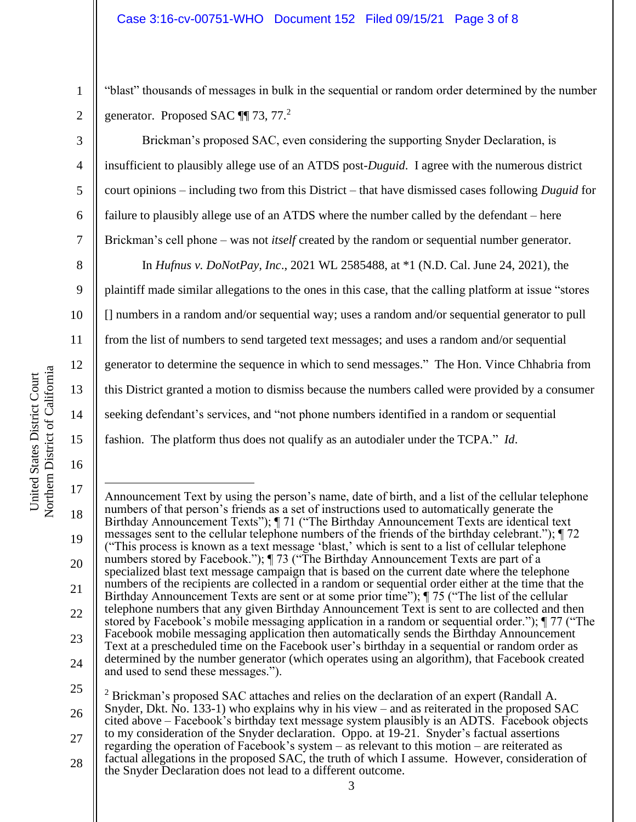"blast" thousands of messages in bulk in the sequential or random order determined by the number generator. Proposed SAC  $\P$  73, 77.<sup>2</sup>

Brickman's proposed SAC, even considering the supporting Snyder Declaration, is insufficient to plausibly allege use of an ATDS post-*Duguid*. I agree with the numerous district court opinions – including two from this District – that have dismissed cases following *Duguid* for failure to plausibly allege use of an ATDS where the number called by the defendant – here Brickman's cell phone – was not *itself* created by the random or sequential number generator.

15 In *Hufnus v. DoNotPay, Inc*., 2021 WL 2585488, at \*1 (N.D. Cal. June 24, 2021), the plaintiff made similar allegations to the ones in this case, that the calling platform at issue "stores [] numbers in a random and/or sequential way; uses a random and/or sequential generator to pull from the list of numbers to send targeted text messages; and uses a random and/or sequential generator to determine the sequence in which to send messages." The Hon. Vince Chhabria from this District granted a motion to dismiss because the numbers called were provided by a consumer seeking defendant's services, and "not phone numbers identified in a random or sequential fashion. The platform thus does not qualify as an autodialer under the TCPA." *Id*.

1

2

3

4

5

6

7

8

9

10

11

12

13

14

Northern District of California Northern District of California United States District Court United States District Court

<sup>17</sup> 18 19 20 21 22 23 24 25 26 Announcement Text by using the person's name, date of birth, and a list of the cellular telephone numbers of that person's friends as a set of instructions used to automatically generate the Birthday Announcement Texts"); ¶ 71 ("The Birthday Announcement Texts are identical text messages sent to the cellular telephone numbers of the friends of the birthday celebrant."); ¶ 72 ("This process is known as a text message 'blast,' which is sent to a list of cellular telephone numbers stored by Facebook."); [73 ("The Birthday Announcement Texts are part of a specialized blast text message campaign that is based on the current date where the telephone numbers of the recipients are collected in a random or sequential order either at the time that the Birthday Announcement Texts are sent or at some prior time"); ¶ 75 ("The list of the cellular telephone numbers that any given Birthday Announcement Text is sent to are collected and then stored by Facebook's mobile messaging application in a random or sequential order."); ¶ 77 ("The Facebook mobile messaging application then automatically sends the Birthday Announcement Text at a prescheduled time on the Facebook user's birthday in a sequential or random order as determined by the number generator (which operates using an algorithm), that Facebook created and used to send these messages."). <sup>2</sup> Brickman's proposed SAC attaches and relies on the declaration of an expert (Randall A. Snyder, Dkt. No. 133-1) who explains why in his view – and as reiterated in the proposed SAC

<sup>27</sup> 28 cited above – Facebook's birthday text message system plausibly is an ADTS. Facebook objects to my consideration of the Snyder declaration. Oppo. at 19-21. Snyder's factual assertions regarding the operation of Facebook's system – as relevant to this motion – are reiterated as factual allegations in the proposed SAC, the truth of which I assume. However, consideration of the Snyder Declaration does not lead to a different outcome.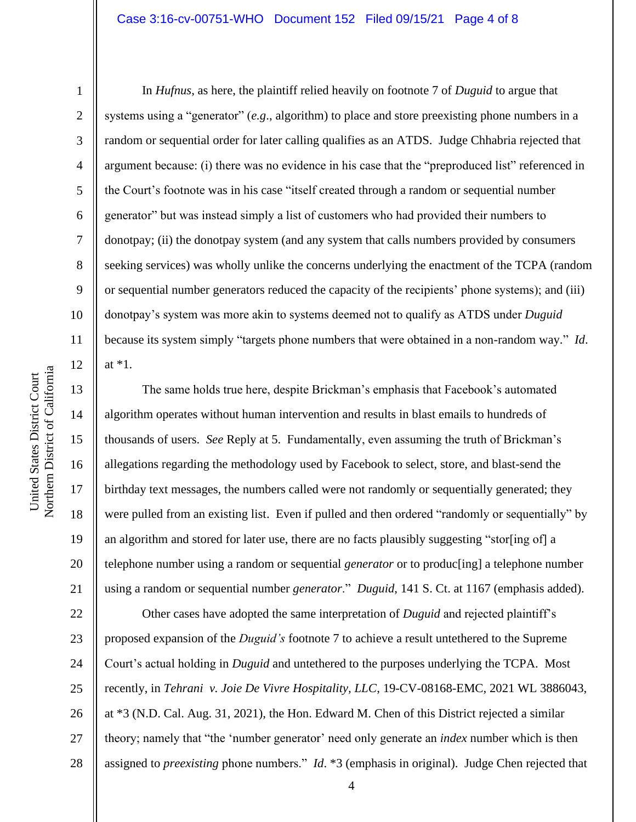Northern District of California Northern District of California United States District Court United States District Court

1

2

3

4

5

6

7

8

9

10

11

12

13

14

15

16

17

18

19

20

21

In *Hufnus*, as here, the plaintiff relied heavily on footnote 7 of *Duguid* to argue that systems using a "generator" (*e.g*., algorithm) to place and store preexisting phone numbers in a random or sequential order for later calling qualifies as an ATDS. Judge Chhabria rejected that argument because: (i) there was no evidence in his case that the "preproduced list" referenced in the Court's footnote was in his case "itself created through a random or sequential number generator" but was instead simply a list of customers who had provided their numbers to donotpay; (ii) the donotpay system (and any system that calls numbers provided by consumers seeking services) was wholly unlike the concerns underlying the enactment of the TCPA (random or sequential number generators reduced the capacity of the recipients' phone systems); and (iii) donotpay's system was more akin to systems deemed not to qualify as ATDS under *Duguid* because its system simply "targets phone numbers that were obtained in a non-random way." *Id*. at \*1.

The same holds true here, despite Brickman's emphasis that Facebook's automated algorithm operates without human intervention and results in blast emails to hundreds of thousands of users. *See* Reply at 5. Fundamentally, even assuming the truth of Brickman's allegations regarding the methodology used by Facebook to select, store, and blast-send the birthday text messages, the numbers called were not randomly or sequentially generated; they were pulled from an existing list. Even if pulled and then ordered "randomly or sequentially" by an algorithm and stored for later use, there are no facts plausibly suggesting "stor[ing of] a telephone number using a random or sequential *generator* or to produc[ing] a telephone number using a random or sequential number *generator*." *Duguid*, 141 S. Ct. at 1167 (emphasis added).

22 23 24 25 26 27 28 Other cases have adopted the same interpretation of *Duguid* and rejected plaintiff's proposed expansion of the *Duguid's* footnote 7 to achieve a result untethered to the Supreme Court's actual holding in *Duguid* and untethered to the purposes underlying the TCPA. Most recently, in *Tehrani v. Joie De Vivre Hospitality, LLC*, 19-CV-08168-EMC, 2021 WL 3886043, at \*3 (N.D. Cal. Aug. 31, 2021), the Hon. Edward M. Chen of this District rejected a similar theory; namely that "the 'number generator' need only generate an *index* number which is then assigned to *preexisting* phone numbers." *Id*. \*3 (emphasis in original). Judge Chen rejected that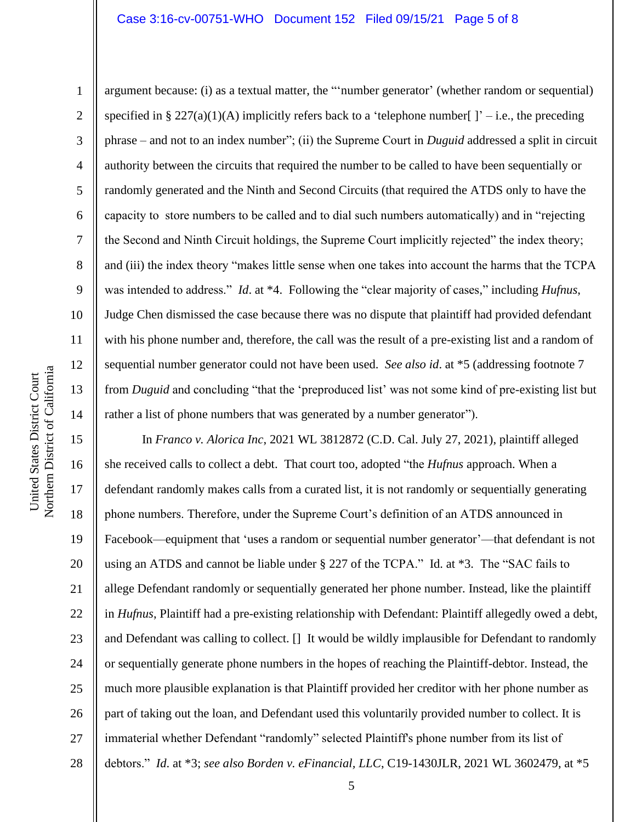### Case 3:16-cv-00751-WHO Document 152 Filed 09/15/21 Page 5 of 8

2 3 4 5 6 7 8 9 10 11 12 13 14 argument because: (i) as a textual matter, the "'number generator' (whether random or sequential) specified in § 227(a)(1)(A) implicitly refers back to a 'telephone number[ ]' – i.e., the preceding phrase – and not to an index number"; (ii) the Supreme Court in *Duguid* addressed a split in circuit authority between the circuits that required the number to be called to have been sequentially or randomly generated and the Ninth and Second Circuits (that required the ATDS only to have the capacity to store numbers to be called and to dial such numbers automatically) and in "rejecting the Second and Ninth Circuit holdings, the Supreme Court implicitly rejected" the index theory; and (iii) the index theory "makes little sense when one takes into account the harms that the TCPA was intended to address." *Id*. at \*4. Following the "clear majority of cases," including *Hufnus*, Judge Chen dismissed the case because there was no dispute that plaintiff had provided defendant with his phone number and, therefore, the call was the result of a pre-existing list and a random of sequential number generator could not have been used. *See also id*. at \*5 (addressing footnote 7 from *Duguid* and concluding "that the 'preproduced list' was not some kind of pre-existing list but rather a list of phone numbers that was generated by a number generator").

15 16 17 18 19 20 21 22 23 24 25 26 27 28 In *Franco v. Alorica Inc*, 2021 WL 3812872 (C.D. Cal. July 27, 2021), plaintiff alleged she received calls to collect a debt. That court too, adopted "the *Hufnus* approach. When a defendant randomly makes calls from a curated list, it is not randomly or sequentially generating phone numbers. Therefore, under the Supreme Court's definition of an ATDS announced in Facebook—equipment that 'uses a random or sequential number generator'—that defendant is not using an ATDS and cannot be liable under § 227 of the TCPA." Id. at \*3. The "SAC fails to allege Defendant randomly or sequentially generated her phone number. Instead, like the plaintiff in *Hufnus*, Plaintiff had a pre-existing relationship with Defendant: Plaintiff allegedly owed a debt, and Defendant was calling to collect. [] It would be wildly implausible for Defendant to randomly or sequentially generate phone numbers in the hopes of reaching the Plaintiff-debtor. Instead, the much more plausible explanation is that Plaintiff provided her creditor with her phone number as part of taking out the loan, and Defendant used this voluntarily provided number to collect. It is immaterial whether Defendant "randomly" selected Plaintiff's phone number from its list of debtors." *Id*. at \*3; *see also Borden v. eFinancial, LLC*, C19-1430JLR, 2021 WL 3602479, at \*5

1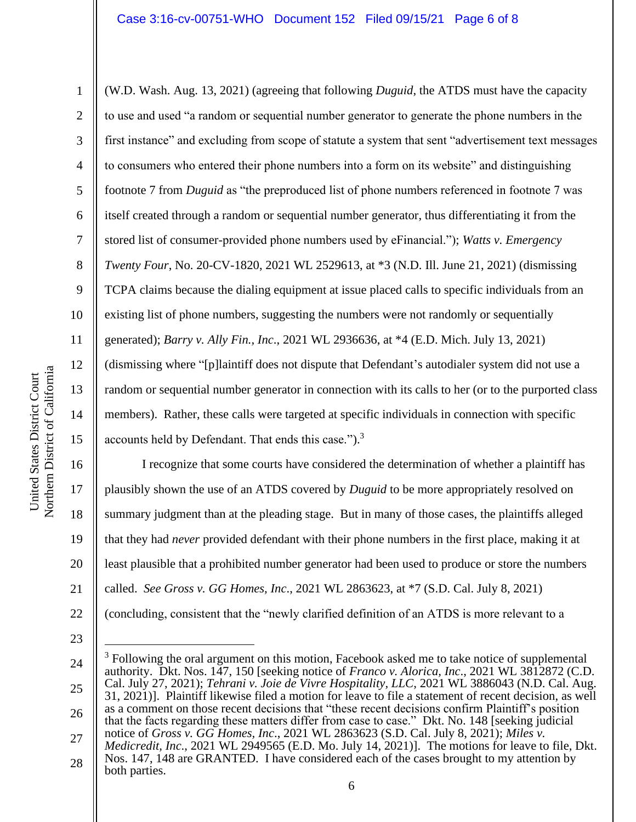1 2 3 4 5 6 7 8 9 10 11 12 13 14 15 (W.D. Wash. Aug. 13, 2021) (agreeing that following *Duguid*, the ATDS must have the capacity to use and used "a random or sequential number generator to generate the phone numbers in the first instance" and excluding from scope of statute a system that sent "advertisement text messages to consumers who entered their phone numbers into a form on its website" and distinguishing footnote 7 from *Duguid* as "the preproduced list of phone numbers referenced in footnote 7 was itself created through a random or sequential number generator, thus differentiating it from the stored list of consumer-provided phone numbers used by eFinancial."); *Watts v. Emergency Twenty Four*, No. 20-CV-1820, 2021 WL 2529613, at \*3 (N.D. Ill. June 21, 2021) (dismissing TCPA claims because the dialing equipment at issue placed calls to specific individuals from an existing list of phone numbers, suggesting the numbers were not randomly or sequentially generated); *Barry v. Ally Fin., Inc*., 2021 WL 2936636, at \*4 (E.D. Mich. July 13, 2021) (dismissing where "[p]laintiff does not dispute that Defendant's autodialer system did not use a random or sequential number generator in connection with its calls to her (or to the purported class members). Rather, these calls were targeted at specific individuals in connection with specific accounts held by Defendant. That ends this case.").<sup>3</sup>

16 17 18 19 20 21 22 I recognize that some courts have considered the determination of whether a plaintiff has plausibly shown the use of an ATDS covered by *Duguid* to be more appropriately resolved on summary judgment than at the pleading stage. But in many of those cases, the plaintiffs alleged that they had *never* provided defendant with their phone numbers in the first place, making it at least plausible that a prohibited number generator had been used to produce or store the numbers called. *See Gross v. GG Homes, Inc*., 2021 WL 2863623, at \*7 (S.D. Cal. July 8, 2021) (concluding, consistent that the "newly clarified definition of an ATDS is more relevant to a

<sup>24</sup> 25 26 27  $3$  Following the oral argument on this motion, Facebook asked me to take notice of supplemental authority. Dkt. Nos. 147, 150 [seeking notice of *Franco v. Alorica, Inc*., 2021 WL 3812872 (C.D. Cal. July 27, 2021); *Tehrani v. Joie de Vivre Hospitality, LLC*, 2021 WL 3886043 (N.D. Cal. Aug. 31, 2021)]. Plaintiff likewise filed a motion for leave to file a statement of recent decision, as well as a comment on those recent decisions that "these recent decisions confirm Plaintiff's position that the facts regarding these matters differ from case to case." Dkt. No. 148 [seeking judicial notice of *Gross v. GG Homes, Inc*., 2021 WL 2863623 (S.D. Cal. July 8, 2021); *Miles v. Medicredit, Inc*., 2021 WL 2949565 (E.D. Mo. July 14, 2021)]. The motions for leave to file, Dkt. Nos. 147, 148 are GRANTED. I have considered each of the cases brought to my attention by

<sup>28</sup> both parties.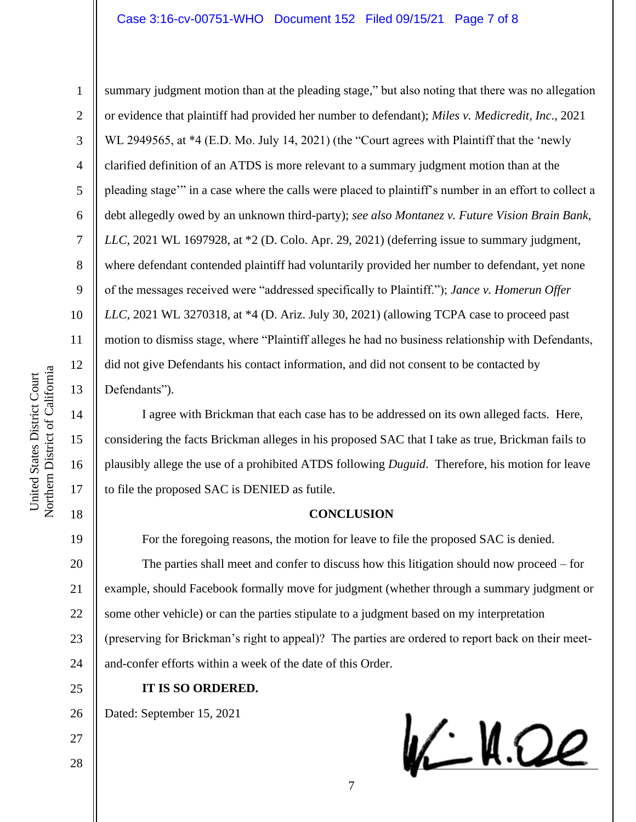# Case 3:16-cv-00751-WHO Document 152 Filed 09/15/21 Page 7 of 8

10 11 12 Northern District of California Northern District of California 13

1

2

3

4

5

6

7

8

9

14

15

United States District Court

United States District Court

16

17

18

summary judgment motion than at the pleading stage," but also noting that there was no allegation or evidence that plaintiff had provided her number to defendant); *Miles v. Medicredit, Inc*., 2021 WL 2949565, at \*4 (E.D. Mo. July 14, 2021) (the "Court agrees with Plaintiff that the 'newly clarified definition of an ATDS is more relevant to a summary judgment motion than at the pleading stage'" in a case where the calls were placed to plaintiff's number in an effort to collect a debt allegedly owed by an unknown third-party); *see also Montanez v. Future Vision Brain Bank, LLC*, 2021 WL 1697928, at \*2 (D. Colo. Apr. 29, 2021) (deferring issue to summary judgment, where defendant contended plaintiff had voluntarily provided her number to defendant, yet none of the messages received were "addressed specifically to Plaintiff."); *Jance v. Homerun Offer LLC*, 2021 WL 3270318, at \*4 (D. Ariz. July 30, 2021) (allowing TCPA case to proceed past motion to dismiss stage, where "Plaintiff alleges he had no business relationship with Defendants, did not give Defendants his contact information, and did not consent to be contacted by Defendants").

I agree with Brickman that each case has to be addressed on its own alleged facts. Here, considering the facts Brickman alleges in his proposed SAC that I take as true, Brickman fails to plausibly allege the use of a prohibited ATDS following *Duguid*. Therefore, his motion for leave to file the proposed SAC is DENIED as futile.

# **CONCLUSION**

19 20 21 22 23 24 For the foregoing reasons, the motion for leave to file the proposed SAC is denied. The parties shall meet and confer to discuss how this litigation should now proceed – for example, should Facebook formally move for judgment (whether through a summary judgment or some other vehicle) or can the parties stipulate to a judgment based on my interpretation (preserving for Brickman's right to appeal)? The parties are ordered to report back on their meetand-confer efforts within a week of the date of this Order.

25

### **IT IS SO ORDERED.**

26 Dated: September 15, 2021

28

VC H.Oe